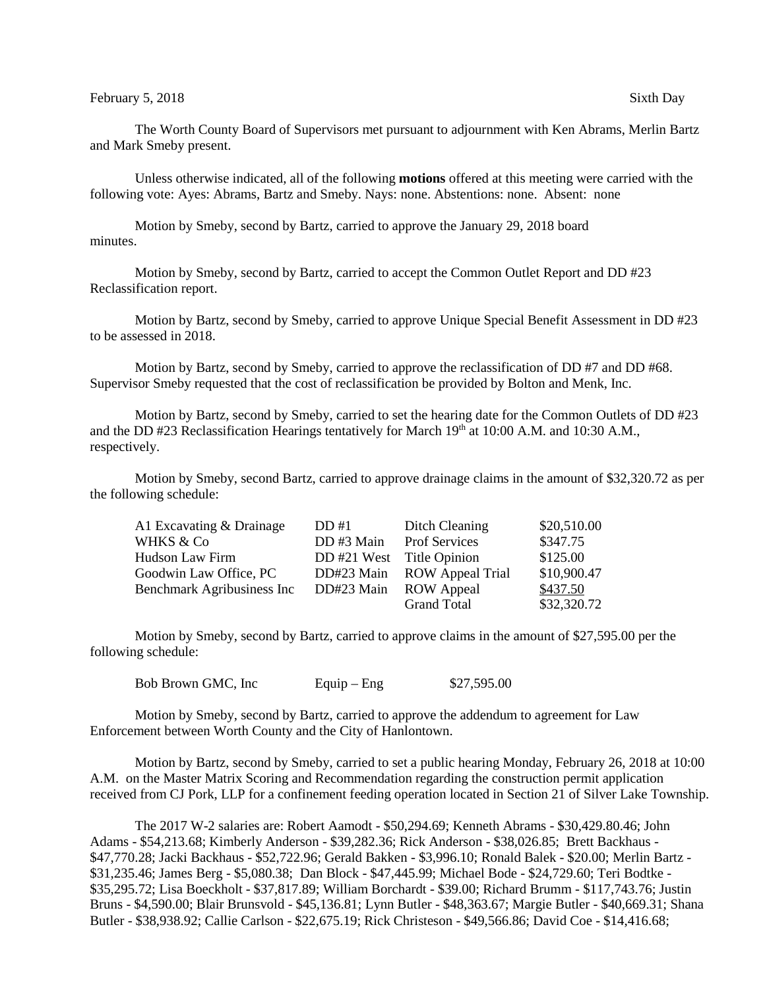The Worth County Board of Supervisors met pursuant to adjournment with Ken Abrams, Merlin Bartz and Mark Smeby present.

Unless otherwise indicated, all of the following **motions** offered at this meeting were carried with the following vote: Ayes: Abrams, Bartz and Smeby. Nays: none. Abstentions: none. Absent: none

Motion by Smeby, second by Bartz, carried to approve the January 29, 2018 board minutes.

Motion by Smeby, second by Bartz, carried to accept the Common Outlet Report and DD #23 Reclassification report.

Motion by Bartz, second by Smeby, carried to approve Unique Special Benefit Assessment in DD #23 to be assessed in 2018.

Motion by Bartz, second by Smeby, carried to approve the reclassification of DD #7 and DD #68. Supervisor Smeby requested that the cost of reclassification be provided by Bolton and Menk, Inc.

Motion by Bartz, second by Smeby, carried to set the hearing date for the Common Outlets of DD #23 and the DD #23 Reclassification Hearings tentatively for March  $19<sup>th</sup>$  at 10:00 A.M. and 10:30 A.M., respectively.

Motion by Smeby, second Bartz, carried to approve drainage claims in the amount of \$32,320.72 as per the following schedule:

| A1 Excavating & Drainage   | DD#1                      | Ditch Cleaning          | \$20,510.00 |
|----------------------------|---------------------------|-------------------------|-------------|
| <b>WHKS &amp; Co</b>       | DD#3 Main                 | <b>Prof Services</b>    | \$347.75    |
| Hudson Law Firm            | DD #21 West Title Opinion |                         | \$125.00    |
| Goodwin Law Office, PC     | DD#23 Main                | <b>ROW Appeal Trial</b> | \$10,900.47 |
| Benchmark Agribusiness Inc | DD#23 Main                | <b>ROW</b> Appeal       | \$437.50    |
|                            |                           | <b>Grand Total</b>      | \$32,320.72 |

Motion by Smeby, second by Bartz, carried to approve claims in the amount of \$27,595.00 per the following schedule:

Bob Brown GMC, Inc Equip – Eng  $$27,595.00$ 

Motion by Smeby, second by Bartz, carried to approve the addendum to agreement for Law Enforcement between Worth County and the City of Hanlontown.

Motion by Bartz, second by Smeby, carried to set a public hearing Monday, February 26, 2018 at 10:00 A.M. on the Master Matrix Scoring and Recommendation regarding the construction permit application received from CJ Pork, LLP for a confinement feeding operation located in Section 21 of Silver Lake Township.

The 2017 W-2 salaries are: Robert Aamodt - \$50,294.69; Kenneth Abrams - \$30,429.80.46; John Adams - \$54,213.68; Kimberly Anderson - \$39,282.36; Rick Anderson - \$38,026.85; Brett Backhaus - \$47,770.28; Jacki Backhaus - \$52,722.96; Gerald Bakken - \$3,996.10; Ronald Balek - \$20.00; Merlin Bartz - \$31,235.46; James Berg - \$5,080.38; Dan Block - \$47,445.99; Michael Bode - \$24,729.60; Teri Bodtke - \$35,295.72; Lisa Boeckholt - \$37,817.89; William Borchardt - \$39.00; Richard Brumm - \$117,743.76; Justin Bruns - \$4,590.00; Blair Brunsvold - \$45,136.81; Lynn Butler - \$48,363.67; Margie Butler - \$40,669.31; Shana Butler - \$38,938.92; Callie Carlson - \$22,675.19; Rick Christeson - \$49,566.86; David Coe - \$14,416.68;